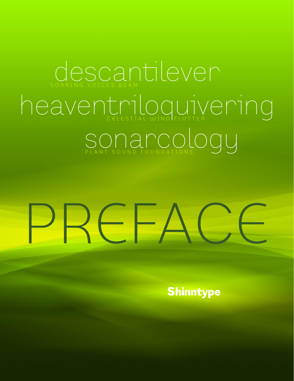### CLOSCANTIEVEN heaventriloguivering SONALCOLOU

## $R \epsilon \vdash A$

**Shinntype**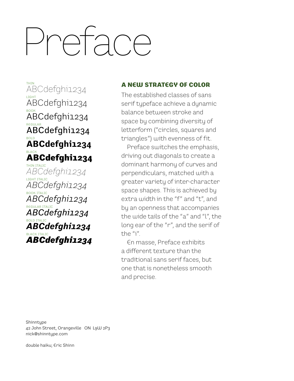## Preface

<del>nin</del><br>ABCdefghi1234 LIGHT ABCdefghi1234 воок<br>ABCdefghi1234 REGULAR ABCdefghi1234 。<br>ABCdefghi**123**4 BLACK ABCdefghi1234 THIN ITALIC *ABCdefghi1234* LIGHT ITALIC *ABCdefghi1234*

<sub>BOOK ITALIC</sub><br>ABCdefghi1234 REGULAR ITALIC *ABCdefghi1234* <u>bold ITALIC</u><br>ABCdefghi1234 <u>BLACK ITALIC</u><br>**ABCdefghi1234** 

#### A NEW STRATEGY OF COLOR

The established classes of sans serif typeface achieve a dynamic balance between stroke and space by combining diversity of letterform ("circles, squares and triangles") with evenness of fit.

Preface switches the emphasis, driving out diagonals to create a dominant harmony of curves and perpendiculars, matched with a greater variety of inter-character space shapes. This is achieved by extra width in the "f" and "t", and by an openness that accompanies the wide tails of the "a" and "l", the long ear of the "r", and the serif of the "i".

En masse, Preface exhibits a different texture than the traditional sans serif faces, but one that is nonetheless smooth and precise.

**Shinntupe** 42 John Street, Orangeville ON L9W 2P3 nick@shinntype.com

double haiku; Eric Shinn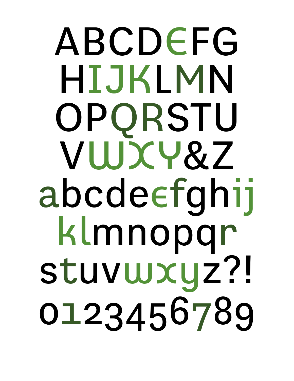## ABCDEFG HIJKLMN OPQRSTU VUJXY&Z abcdeefghij klmnopgr stuvwxyz?! 0123456789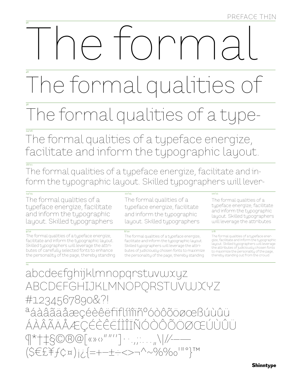## TOMM

### The formal qualities

### The formal qualities of a tupe-

The formal qualities of a typeface energize, facilitate and inform the typographic layout.

The formal qualities of a typeface energize, facilitate and inform the typographic layout. Skilled typographers will lever-

 $\frac{1}{14/15}$ 

The formal qualities of a typeface energize, facilitate and inform the typographic layout. Skilled typographers

 $\overline{9/10}$ 

The formal qualities of a typeface energize, facilitate and inform the typographic layout. Skilled typographers will leverage the attributes of carefully selected fonts to enhance the personality of the page, thereby standing

The formal qualities of a typeface energize, facilitate and inform the typographic layout. Skilled typographers

 $8/10$ 

 $\frac{12}{15}$ 

The formal qualities of a tupeface energize. facilitate and inform the typographic layout. Skilled typographers will leverage the attributes of judiciously chosen fonts to maximize the personality of the page, thereby standing

#### $10/11$

The formal qualities of a typeface energize, facilitate and inform the typographic layout. Skilled typographers will leverage the attributes

#### $7/8$

The formal qualities of a typeface ener gize, facilitate and inform the typographic layout. Skilled typographers will leverage the attributes of judiciously chosen fonts to maximize the personality of the page, thereby standing out from the crowd.

abcdeefghijklmnopgrstuvwxyz ABCDEFGHIJKLMNOPORSTUVWXYZ #1234567890&?! aáàâãäåæçéèêëfiflíiiiñºóòôõöøœBúùûü ÁÀÂÃÄÅÆÇÉÈËËÍÌÎĨÑÓÒÔÕÖØŒÚÙÛÜ  $\left(1 + \frac{1}{2} S^{\circ} \otimes S^{\circ} \otimes \cdots \otimes S^{\circ} \otimes S^{\circ} \otimes S^{\circ} \otimes S^{\circ} \otimes S^{\circ} \otimes S^{\circ} \otimes S^{\circ} \otimes S^{\circ} \otimes S^{\circ} \otimes S^{\circ} \otimes S^{\circ} \otimes S^{\circ} \otimes S^{\circ} \otimes S^{\circ} \otimes S^{\circ} \otimes S^{\circ} \otimes S^{\circ} \otimes S^{\circ} \otimes S^{\circ} \otimes S^{\circ} \otimes S^{\circ} \otimes S^{\circ} \otimes S^{\circ} \otimes S^$  $(SEEffCx)|i=-\pm\div>>\gamma^2\sim\%$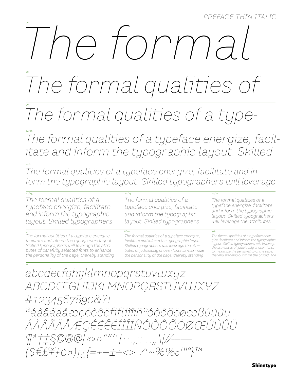## torma

### The formal qualities of

### The formal qualities of a type-

The formal qualities of a typeface energize, facilitate and inform the typographic layout. Skilled

The formal qualities of a typeface energize, facilitate and inform the typographic layout. Skilled typographers will leverage

 $\frac{1}{14/15}$ The formal qualities of a typeface energize, facilitate and inform the typographic layout. Skilled typographers

 $\frac{1}{9/10}$ The formal qualities of a typeface energize, facilitate and inform the typographic layout. Skilled typographers will leverage the attributes of carefully selected fonts to enhance the personality of the page, thereby standing

The formal qualities of a typeface energize, facilitate and inform the typographic layout. Skilled typographers

#### $8/10$

 $\frac{12}{15}$ 

The formal qualities of a typeface energize, facilitate and inform the typographic layout. Skilled typographers will leverage the attributes of judiciously chosen fonts to maximize the personality of the page, thereby standing

#### $10/11$

The formal qualities of a typeface energize, facilitate and inform the typographic layout. Skilled typographers will leverage the attributes

#### $7/8$

The formal qualities of a typeface ener gize, facilitate and inform the typographic layout. Skilled typographers will leverage the attributes of judiciously chosen fonts to maximize the personality of the page, thereby standing out from the crowd. The

abcdeefghijklmnopgrstuvwxyz ABCDEFGHIJKLMNOPORSTUVWXYZ #1234567890&?! aáàâãäåæçéèêëfiflíîîiñ%óòôõöøœBúùûü ÁÀÂÃÄÅÆÇÉÈËËÎÎÎÎÑÓÒÔÕÖØŒŰÙÛŨ  $9*++50000$  (x) (s)  $10001$  ...,  $11111$  $(SEffCx)_{i\ell}=-\pm\div<>\gamma^20\%0''$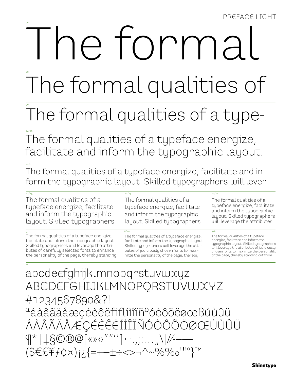## e torma

The formal qualities of

### The formal qualities of a type-

The formal qualities of a typeface energize, facilitate and inform the typographic layout.

The formal qualities of a typeface energize, facilitate and inform the typographic layout. Skilled typographers will lever-

 $\frac{12}{15}$ 

 $\frac{1}{14/15}$ The formal qualities of a typeface energize, facilitate and inform the typographic layout. Skilled typographers

 $\frac{1}{9/10}$ The formal qualities of a typeface energize, facilitate and inform the typographic layout. Skilled typographers will leverage the attributes of carefully selected fonts to enhance the personality of the page, thereby standing

The formal qualities of a typeface energize, facilitate and inform the typographic layout. Skilled typographers

 $8/10$ The formal qualities of a typeface energize. facilitate and inform the typographic layout. Skilled typographers will leverage the attributes of judiciously chosen fonts to maximize the personality of the page, thereby

#### $10/11$

 $7/8$ 

The formal qualities of a typeface energize, facilitate and inform the typographic layout. Skilled typographers will leverage the attributes

#### The formal qualities of a typeface energize, facilitate and inform the typographic layout. Skilled typographers will leverage the attributes of judiciously chosen fonts to maximize the personality of the page, thereby standing out from

abcdeefghijklmnopgrstuvwxyz ABCDEFGHIJKLMNOPORSTUVWXYZ #1234567890&?! aáàâãäåæçéèêëfiflíìîiñºóòôõöøœBúùûü ÁÀÂÃÄÅÆÇÉÈÊËÍÌÎÏÑÓÒÔÕÖØŒÚÙÛÜ  $\P^*$  +  $\frac{1}{2}$   $\mathcal{S}$   $\mathcal{O}$   $\mathcal{O}$   $\mathcal{O}$   $\left[\n \begin{array}{c} \mathcal{O} & \mathcal{O} \end{array} \right]$   $\cdots$  ,  $\cdots$  ,  $\left| \mathcal{O} \right|$  $(SEEffcx)_{12}=-\pm\div\leftarrow\rightarrow\sim\%$ %'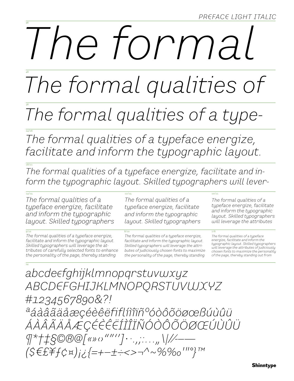## e tormal

The formal qualities of

### The formal qualities of a type-

The formal qualities of a typeface energize, facilitate and inform the typographic layout.

The formal qualities of a typeface energize, facilitate and inform the typographic layout. Skilled typographers will lever-

 $\frac{12}{15}$ 

 $\frac{1}{14/15}$ The formal qualities of a typeface energize, facilitate and inform the typographic layout. Skilled typographers

The formal qualities of a typeface energize, facilitate and inform the typographic layout. Skilled typographers will leverage the attributes of carefully selected fonts to enhance the personality of the page, thereby standing

The formal qualities of a typeface energize, facilitate and inform the typographic layout. Skilled typographers

The formal qualities of a typeface energize, facilitate and inform the typographic layout. Skilled typographers will leverage the attributes of judiciously chosen fonts to maximize the personality of the page, thereby standing

The formal qualities of a typeface energize, facilitate and inform the typographic layout. Skilled typographers will leverage the attributes

 $\frac{10}{11}$ 

 $7/8$ 

The formal qualities of a typeface energize, facilitate and inform the typographic layout. Skilled typographers will leverage the attributes of judiciously chosen fonts to maximize the personality of the page, thereby standing out from

abcdeefghijklmnopqrstuvwxyz ABCDEFGHIJKLMNOPORSTUVWXYZ #1234567890&?! <sup>a</sup>áàâãäåæçéèêëfiflíîîïñ°óòôõöøœBúùûü ÁÀÂÃÄÅÆÇÉÈËËÎÎÎĨÑÓÒÔÕÖØŒŰÙÛÜ  $\frac{1}{2}$  +  $\frac{1}{2}$   $\frac{1}{2}$   $\frac{1}{2}$   $\frac{1}{2}$   $\frac{1}{2}$   $\frac{1}{2}$   $\frac{1}{2}$   $\frac{1}{2}$   $\frac{1}{2}$   $\frac{1}{2}$   $\frac{1}{2}$   $\frac{1}{2}$   $\frac{1}{2}$   $\frac{1}{2}$   $\frac{1}{2}$   $\frac{1}{2}$   $\frac{1}{2}$   $\frac{1}{2}$   $\frac{1}{2}$   $\frac{1}{2}$   $\frac{1}{2}$  $(S\in E\neq f\circ x)_{i\in I}$ =+-±-<>-^~%%0'"}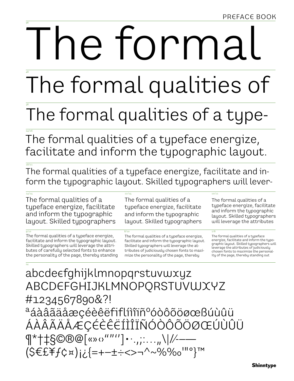# e torma

The formal qualities of

### The formal qualities of a type-

The formal qualities of a typeface energize, facilitate and inform the typographic layout.

The formal qualities of a typeface energize, facilitate and inform the typographic layout. Skilled typographers will lever-

 $\frac{12}{15}$ 

 $\frac{1}{14/15}$ The formal qualities of a typeface energize, facilitate and inform the typographic layout. Skilled typographers

The formal qualities of a typeface energize, facilitate and inform the typographic layout. Skilled typographers will leverage the attributes of carefully selected fonts to enhance the personality of the page, thereby standing

The formal qualities of a typeface energize, facilitate and inform the typographic layout. Skilled typographers

The formal qualities of a typeface energize, facilitate and inform the typographic layout. Skilled typographers will leverage the attributes of judiciously chosen fonts to maximize the personality of the page, thereby

The formal qualities of a typeface energize, facilitate and inform the typographic layout. Skilled typographers will leverage the attributes

 $10/11$ 

 $7/8$ 

The formal qualities of a typeface energize, facilitate and inform the typographic layout. Skilled typographers will leverage the attributes of judiciously chosen fonts to maximize the personality of the page, thereby standing out

abcdeefghijklmnopgrstuvwxyz ABCDEFGHIJKLMNOPQRSTUVWXYZ #1234567890&?! aáàâãäåæçéèêëfiflíìîïñºóòôõöøœßúùûü ÁÀÂÃÄÅÆÇÉÈËËÍÌÎÏÑÓÒÔÕÖØŒÚÙÛÜ  $\P^*$  +  $\frac{1}{8}$ ©®@[«»  $\circ$ ""''] • ..,;....,,\|//--- $(SEEffcx)_{i\ell}$  = + - ± = < > - ^ ~ % %  $0^{1110}$  TM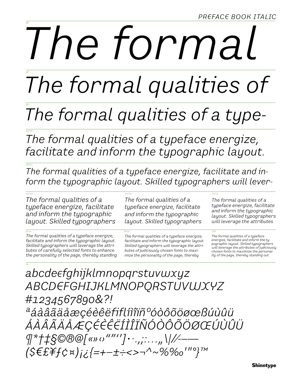PREFACE BOOK ITALIC

# The formal

The formal qualities of

#### The formal qualities of a type-

The formal qualities of a typeface energize, facilitate and inform the typographic layout.

The formal qualities of a typeface energize, facilitate and inform the typographic layout. Skilled typographers will lever-

 $\frac{12}{15}$ 

 $\frac{1}{14/15}$ The formal qualities of a typeface energize, facilitate and inform the typographic layout. Skilled typographers

The formal qualities of a typeface energize, facilitate and inform the typographic layout. Skilled typographers will leverage the attributes of carefully selected fonts to enhance the personality of the page, thereby standing

The formal qualities of a typeface energize, facilitate and inform the typographic layout. Skilled typographers

The formal qualities of a typeface energize, facilitate and inform the typographic layout. Skilled typographers will leverage the attributes of judiciously chosen fonts to maximize the personality of the page, thereby

The formal qualities of a typeface energize, facilitate and inform the typographic layout. Skilled typographers will leverage the attributes

 $\frac{10}{11}$ 

 $7/8$ 

The formal qualities of a typeface energize, facilitate and inform the typographic layout. Skilled typographers will leverage the attributes of judiciously chosen fonts to maximize the personality of the page, thereby standing out

abcdeefghijklmnopqrstuvwxyz ABCDEFGHIJKLMNOPORSTUVWXYZ #1234567890&?! <sup>a</sup>áàâãäåæçéèêëfiflíìîïñ°óòôõöøœßúùûü ÁÀÂÃÄÅÆÇÉÈÊËÍÌÎÏÑÓÒÔÕÖØŒÚÙÛÜ  $\P^*$ † $\ddagger$ §©®@[«»  $\circ$ ""''] $\cdot \cdot \cdot \cdot \cdot \cdot \cdot \cdot \cdot \cdot \cdot$  \//- $(S \in E \neq f \circ \mathbb{R})$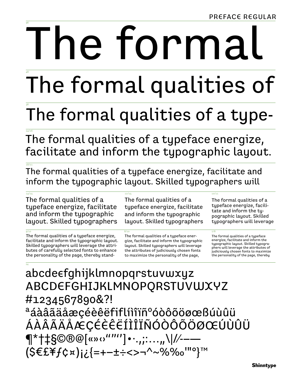# e formal

The formal qualities of

### The formal qualities of a type-

The formal qualities of a typeface energize, facilitate and inform the typographic layout.

The formal qualities of a typeface energize, facilitate and inform the typographic layout. Skilled typographers will

 $12/15$ 

 $\frac{1}{4/15}$ The formal qualities of a typeface energize, facilitate and inform the typographic layout. Skilled typographers

The formal qualities of a typeface energize, facilitate and inform the typographic layout. Skilled typographers will leverage the attributes of carefully selected fonts to enhance the personality of the page, thereby standThe formal qualities of a typeface energize, facilitate and inform the typographic layout. Skilled typographers

The formal qualities of a typeface energize, facilitate and inform the typographic layout. Skilled typographers will leverage the attributes of judiciously chosen fonts to maximize the personality of the page,

The formal qualities of a typeface energize, facilitate and inform the typographic layout. Skilled typographers will leverage

 $10/11$ 

 $7/8$ 

abcdeefghijklmnopgrstuvwxyz ABCDEFGHIJKLMNOPQRSTUVWXYZ #1234567890&?! aáàâãäåæçéèêëfiflíìîïñ°óòôõöøœßúùûü ÁÀÂÃÄÅÆÇÉÈÊËÍÌÎÏÑÓÒÔÕÖØŒÚÙÛÜ  $\P^*$ †‡§©®@[«»  $o$ ""'']•·.,;:...,,\|//--- $(SEEffCx)_{i\ell}$  = +-++<>-^~%%0'"0}

The formal qualities of a typeface energize, facilitate and inform the typographic layout. Skilled typographers will leverage the attributes of judiciously chosen fonts to maximize the personality of the page, thereby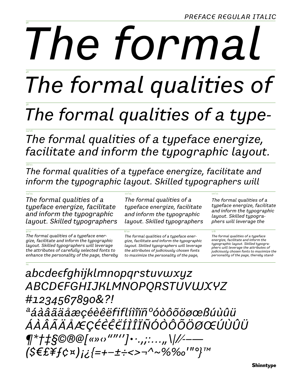*PREFACE REGULAR ITALIC* 

# The formal

The formal qualities of

### The formal qualities of a type-

The formal qualities of a typeface energize, facilitate and inform the typographic layout.

The formal qualities of a typeface energize, facilitate and inform the typographic layout. Skilled typographers will

 $\frac{12}{15}$ 

 $\frac{1}{14/15}$ The formal qualities of a typeface energize, facilitate and inform the typographic layout. Skilled typographers

The formal qualities of a typeface energize, facilitate and inform the typographic layout. Skilled typographers will leverage the attributes of carefully selected fonts to enhance the personality of the page, thereby

The formal qualities of a typeface energize, facilitate and inform the typographic layout. Skilled typographers

The formal qualities of a typeface energize, facilitate and inform the typographic layout. Skilled typographers will leverage the attributes of judiciously chosen fonts to maximize the personality of the page,

The formal qualities of a typeface energize, facilitate and inform the typographic layout. Skilled typographers will leverage the

 $10/11$ 

The formal qualities of a typeface energize, facilitate and inform the typographic layout. Skilled typographers will leverage the attributes of .<br>judiciously chosen fonts to maximize the personality of the page, thereby stand-

abcdeefghijklmnopqrstuvwxyz ABCDEFGHIJKLMNOPORSTUVWXYZ #1234567890&?! <sup>a</sup>áàâãäåæçéèêëfiflíìîiñ°óòôõöøœßúùûü ÁÀÂÃÄÅÆÇÉÈÊËÍÌÎÏÑÓÒÔÕÖØŒÚÙÛÜ  $\P^*$ † $\ddagger$ §©®@[«»  $\circ$ ""'']•·.,;:...,,\|//--- $(S \in E \ncong f \circ \kappa)_{i \in I}$ =+-±÷<>¬^~%‰'"°}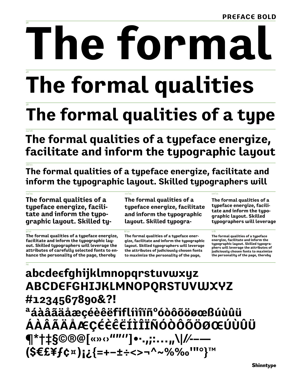## le tormal

### The formal qualities

### The formal qualities of a type

The formal qualities of a typeface energize, facilitate and inform the typographic layout

The formal qualities of a typeface energize, facilitate and inform the typographic layout. Skilled typographers will

 $12/15$ 

 $\frac{1}{4/15}$ The formal qualities of a typeface energize, facilitate and inform the typographic layout. Skilled ty-

The formal qualities of a typeface energize, facilitate and inform the typographic layout. Skilled typographers will leverage the attributes of carefully selected fonts to enhance the personality of the page, thereby

The formal qualities of a typeface energize, facilitate and inform the typographic layout. Skilled typogra-

The formal qualities of a typeface energize, facilitate and inform the typographic layout. Skilled typographers will leverage the attributes of judiciously chosen fonts to maximize the personality of the page,

The formal qualities of a typeface energize, facilitate and inform the typographic layout. Skilled typographers will leverage

 $10/11$ 

 $7/8$ 

#### abcde $\epsilon$ fghijklmnopqrstuvwxyz ABCDEFGHIJKLMNOPQRSTUVWXYZ #1234567890&?! <sup>a</sup>áàâãäåæçéèêëfiflíìîïñºóòôõöøœßúùûü ÁÀÂÃÄÅÆÇÉÈÊËÍÌÎÏÑÓÒÔÕÖØŒÚÙÛÜ ¶\*†‡§©®@[«»⇔""″]•·.,;:…,,\|/⁄--- $(S \in E \nightharpoonup f \circ \nightharpoonup)$   $i \in \{z + - \pm \div \lt> - \wedge \sim \% \% \circ \vee 0 \text{ mod } \}$

The formal qualities of a typeface energize, facilitate and inform the typographic layout. Skilled typographers will leverage the attributes of judiciously chosen fonts to maximize the personality of the page, thereby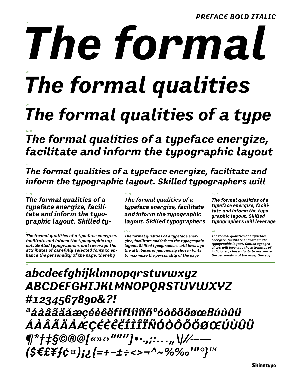# The formal

### The formal qualities

### The formal qualities of a type

The formal qualities of a typeface energize, facilitate and inform the typographic layout

The formal qualities of a typeface energize, facilitate and inform the typographic layout. Skilled typographers will

 $\frac{12}{15}$ 

 $\frac{1}{4/15}$ The formal qualities of a typeface energize, facilitate and inform the typographic layout. Skilled ty-

The formal qualities of a typeface energize, facilitate and inform the typographic layout. Skilled typographers will leverage the attributes of carefully selected fonts to enhance the personality of the page, thereby

The formal qualities of a typeface energize, facilitate and inform the typographic layout. Skilled typographers

The formal qualities of a typeface energize, facilitate and inform the typographic layout. Skilled typographers will leverage the attributes of judiciously chosen fonts to maximize the personality of the page,

The formal qualities of a typeface energize, facilitate and inform the typographic layout. Skilled typographers will leverage

 $\frac{10}{11}$ 

The formal qualities of a typeface energize, facilitate and inform the typographic layout. Skilled typographers will leverage the attributes of judiciously chosen fonts to maximize the personality of the page, thereby

#### abcde $\epsilon$ fghijklmnopqrstuvwxyz ABCDEFGHIJKLMNOPQRSTUVWXYZ #1234567890&?! <sup>a</sup>áàâãäåæçéèêëfiflíìîïñ°óòôõöøœßúùûü ÁÀÂÃÄÅÆÇÉÈËËÍÌÎÏÑÓÒÔÕÖØŒÚÙÛÜ  $\P^*$ † $\ddagger$ §©®@[«»  $\circ$ ""'']•·.,;:...,,\|//-– (\$€£\f¢¤);¿{=+-±÷<>¬^~%‰'"°}™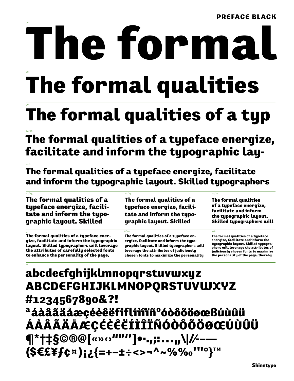## e forn

### **The formal qualities**

### The formal qualities of a typ

The formal qualities of a typeface energize, facilitate and inform the typographic lay-

The formal qualities of a typeface energize, facilitate and inform the typographic layout. Skilled typographers

 $12/15$ 

 $\frac{1}{4/15}$ The formal qualities of a typeface energize, facilitate and inform the typographic layout. Skilled

The formal qualities of a typeface energize, facilitate and inform the typographic layout. Skilled typographers will leverage the attributes of carefully selected fonts to enhance the personality of the page,

The formal qualities of a tupeface energize, facilitate and inform the typographic layout. Skilled

The formal qualities of a tupeface energize, facilitate and inform the typographic layout. **Skilled typographers will** 

 $10/11$ 

 $7/8$ 

#### abcde $\epsilon$ fghijklmnopqrstuvwxyz ABCDEFGHIJKLMNOPORSTUVWXYZ #1234567890&?! <sup>a</sup>áàâãäåæçéèêëfiflíìîïñºóòôõöøœßúùûü ÁÀÂÃÄÅÆÇÉÈÊËÍÌÎÏÑÓÒÔÕÖØŒÚÙÛÜ ¶\*†‡§©®@[«»⇔"""']•<sub>"</sub>,;:…,,\|/⁄--— (\$€£\f¢¤);¿{=+-±÷<>¬^~%‰'''°}™

The formal qualities of a typeface energize, facilitate and inform the typographic layout. Skilled typographers will leverage the attributes of judiciously chosen fonts to maximize the personality

The formal qualities of a typeface energize, facilitate and inform the typographic layout. Skilled typographers will leverage the attributes of judiciously chosen fonts to maximize the personality of the page, thereby